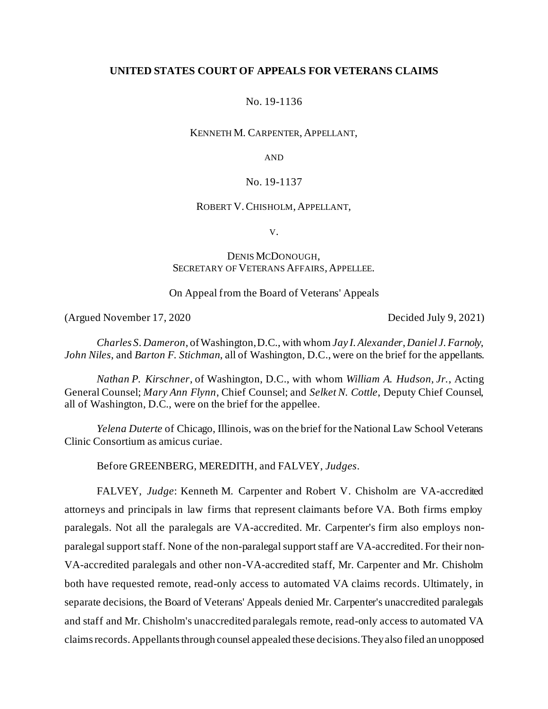# **UNITED STATES COURT OF APPEALS FOR VETERANS CLAIMS**

No. 19-1136

KENNETH M. CARPENTER, APPELLANT,

AND

# No. 19-1137

### ROBERT V.CHISHOLM, APPELLANT,

V.

# DENIS MCDONOUGH, SECRETARY OF VETERANS AFFAIRS, APPELLEE.

# On Appeal from the Board of Veterans' Appeals

(Argued November 17, 2020 Decided July 9, 2021)

*Charles S. Dameron*, of Washington, D.C., with whom *Jay I. Alexander*, *Daniel J. Farnoly*, *John Niles*, and *Barton F. Stichman*, all of Washington, D.C., were on the brief for the appellants.

*Nathan P. Kirschner*, of Washington, D.C., with whom *William A. Hudson, Jr.*, Acting General Counsel; *Mary Ann Flynn*, Chief Counsel; and *Selket N. Cottle*, Deputy Chief Counsel, all of Washington, D.C., were on the brief for the appellee.

*Yelena Duterte* of Chicago, Illinois, was on the brief for the National Law School Veterans Clinic Consortium as amicus curiae.

Before GREENBERG, MEREDITH, and FALVEY, *Judges*.

FALVEY, *Judge*: Kenneth M. Carpenter and Robert V. Chisholm are VA-accredited attorneys and principals in law firms that represent claimants before VA. Both firms employ paralegals. Not all the paralegals are VA-accredited. Mr. Carpenter's firm also employs nonparalegal support staff. None of the non-paralegal support staff are VA-accredited. For their non-VA-accredited paralegals and other non-VA-accredited staff, Mr. Carpenter and Mr. Chisholm both have requested remote, read-only access to automated VA claims records. Ultimately, in separate decisions, the Board of Veterans' Appeals denied Mr. Carpenter's unaccredited paralegals and staff and Mr. Chisholm's unaccredited paralegals remote, read-only access to automated VA claims records. Appellants through counsel appealed these decisions.Theyalso filed an unopposed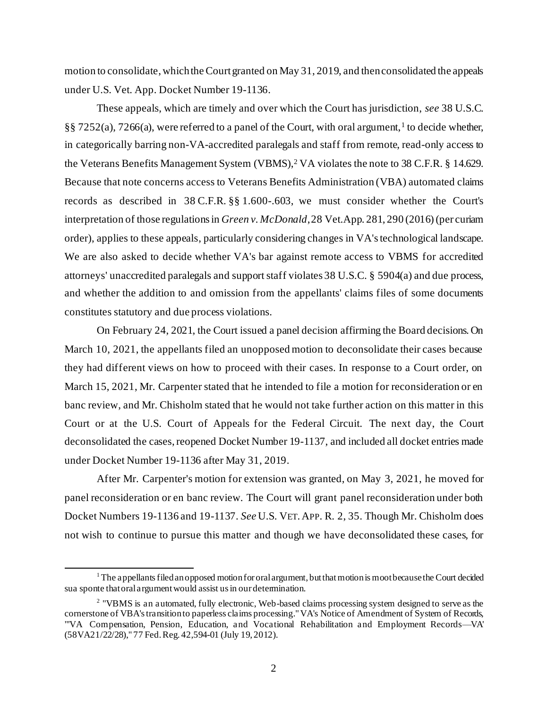motion to consolidate, whichthe Court granted on May 31, 2019, and thenconsolidated the appeals under U.S. Vet. App. Docket Number 19-1136.

These appeals, which are timely and over which the Court has jurisdiction, *see* 38 U.S.C.  $\S$ § 7252(a), 7266(a), were referred to a panel of the Court, with oral argument,<sup>1</sup> to decide whether, in categorically barring non-VA-accredited paralegals and staff from remote, read-only access to the Veterans Benefits Management System (VBMS), <sup>2</sup> VA violates the note to 38 C.F.R. § 14.629. Because that note concerns access to Veterans Benefits Administration (VBA) automated claims records as described in 38 C.F.R. §§ 1.600-.603, we must consider whether the Court's interpretation of those regulations in *Green v. McDonald*, 28 Vet.App. 281, 290 (2016)(per curiam order), applies to these appeals, particularly considering changes in VA's technological landscape. We are also asked to decide whether VA's bar against remote access to VBMS for accredited attorneys' unaccredited paralegals and support staff violates 38 U.S.C. § 5904(a) and due process, and whether the addition to and omission from the appellants' claims files of some documents constitutes statutory and due process violations.

On February 24, 2021, the Court issued a panel decision affirming the Board decisions. On March 10, 2021, the appellants filed an unopposed motion to deconsolidate their cases because they had different views on how to proceed with their cases. In response to a Court order, on March 15, 2021, Mr. Carpenter stated that he intended to file a motion for reconsideration or en banc review, and Mr. Chisholm stated that he would not take further action on this matter in this Court or at the U.S. Court of Appeals for the Federal Circuit. The next day, the Court deconsolidated the cases, reopened Docket Number 19-1137, and included all docket entries made under Docket Number 19-1136 after May 31, 2019.

After Mr. Carpenter's motion for extension was granted, on May 3, 2021, he moved for panel reconsideration or en banc review. The Court will grant panel reconsideration under both Docket Numbers 19-1136 and 19-1137. *See* U.S. VET. APP. R. 2, 35. Though Mr. Chisholm does not wish to continue to pursue this matter and though we have deconsolidated these cases, for

 $1$  The appellants filed an opposed motion for oral argument, but that motion is moot because the Court decided sua sponte that oral argument would assist us in our determination.

<sup>&</sup>lt;sup>2</sup> "VBMS is an automated, fully electronic, Web-based claims processing system designed to serve as the cornerstone of VBA's transition to paperless claims processing." VA's Notice of Amendment of System of Records, "'VA Compensation, Pension, Education, and Vocational Rehabilitation and Employment Records—VA' (58VA21/22/28)," 77 Fed. Reg. 42,594-01 (July 19, 2012).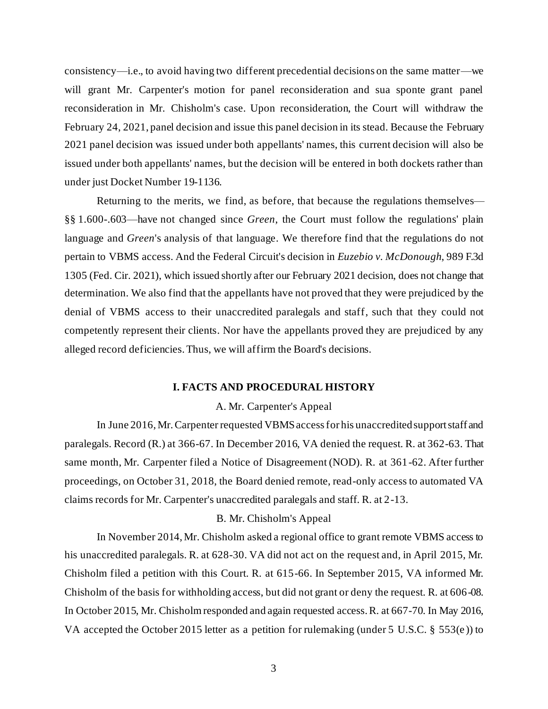consistency—i.e., to avoid having two different precedential decisions on the same matter—we will grant Mr. Carpenter's motion for panel reconsideration and sua sponte grant panel reconsideration in Mr. Chisholm's case. Upon reconsideration, the Court will withdraw the February 24, 2021, panel decision and issue this panel decision in its stead. Because the February 2021 panel decision was issued under both appellants' names, this current decision will also be issued under both appellants' names, but the decision will be entered in both dockets rather than under just Docket Number 19-1136.

Returning to the merits, we find, as before, that because the regulations themselves— §§ 1.600-.603—have not changed since *Green*, the Court must follow the regulations' plain language and *Green*'s analysis of that language. We therefore find that the regulations do not pertain to VBMS access. And the Federal Circuit's decision in *Euzebio v. McDonough*, 989 F.3d 1305 (Fed. Cir. 2021), which issued shortly after our February 2021 decision, does not change that determination. We also find that the appellants have not proved that they were prejudiced by the denial of VBMS access to their unaccredited paralegals and staff, such that they could not competently represent their clients. Nor have the appellants proved they are prejudiced by any alleged record deficiencies. Thus, we will affirm the Board's decisions.

#### **I. FACTS AND PROCEDURAL HISTORY**

#### A. Mr. Carpenter's Appeal

In June 2016, Mr. Carpenter requested VBMS access for his unaccredited support staff and paralegals. Record (R.) at 366-67. In December 2016, VA denied the request. R. at 362-63. That same month, Mr. Carpenter filed a Notice of Disagreement (NOD). R. at 361-62. After further proceedings, on October 31, 2018, the Board denied remote, read-only access to automated VA claims records for Mr. Carpenter's unaccredited paralegals and staff. R. at 2-13.

# B. Mr. Chisholm's Appeal

In November 2014, Mr. Chisholm asked a regional office to grant remote VBMS access to his unaccredited paralegals. R. at 628-30. VA did not act on the request and, in April 2015, Mr. Chisholm filed a petition with this Court. R. at 615-66. In September 2015, VA informed Mr. Chisholm of the basis for withholding access, but did not grant or deny the request. R. at 606-08. In October 2015, Mr. Chisholm responded and again requested access. R. at 667-70. In May 2016, VA accepted the October 2015 letter as a petition for rulemaking (under 5 U.S.C. § 553(e )) to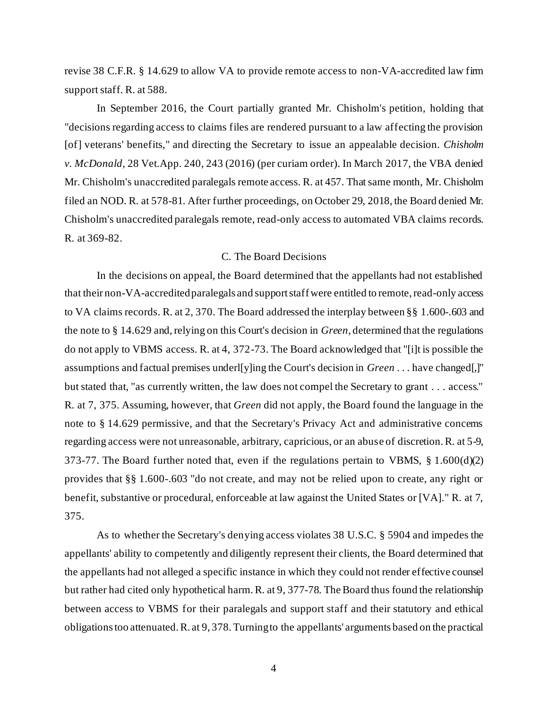revise 38 C.F.R. § 14.629 to allow VA to provide remote access to non-VA-accredited law firm support staff. R. at 588.

In September 2016, the Court partially granted Mr. Chisholm's petition, holding that "decisions regarding access to claims files are rendered pursuant to a law affecting the provision [of] veterans' benefits," and directing the Secretary to issue an appealable decision. *Chisholm v. McDonald*, 28 Vet.App. 240, 243 (2016) (per curiam order). In March 2017, the VBA denied Mr. Chisholm's unaccredited paralegals remote access. R. at 457. That same month, Mr. Chisholm filed an NOD. R. at 578-81. After further proceedings, on October 29, 2018, the Board denied Mr. Chisholm's unaccredited paralegals remote, read-only access to automated VBA claims records. R. at 369-82.

# C. The Board Decisions

In the decisions on appeal, the Board determined that the appellants had not established that their non-VA-accredited paralegals and support staff were entitled to remote, read-only access to VA claims records. R. at 2, 370. The Board addressed the interplay between §§ 1.600-.603 and the note to § 14.629 and, relying on this Court's decision in *Green*, determined that the regulations do not apply to VBMS access. R. at 4, 372-73. The Board acknowledged that "[i]t is possible the assumptions and factual premises underl[y]ing the Court's decision in *Green* . . . have changed[,]" but stated that, "as currently written, the law does not compel the Secretary to grant . . . access." R. at 7, 375. Assuming, however, that *Green* did not apply, the Board found the language in the note to § 14.629 permissive, and that the Secretary's Privacy Act and administrative concerns regarding access were not unreasonable, arbitrary, capricious, or an abuse of discretion. R. at 5-9, 373-77. The Board further noted that, even if the regulations pertain to VBMS, § 1.600(d)(2) provides that §§ 1.600-.603 "do not create, and may not be relied upon to create, any right or benefit, substantive or procedural, enforceable at law against the United States or [VA]." R. at 7, 375.

As to whether the Secretary's denying access violates 38 U.S.C. § 5904 and impedes the appellants' ability to competently and diligently represent their clients, the Board determined that the appellants had not alleged a specific instance in which they could not render effective counsel but rather had cited only hypothetical harm. R. at 9, 377-78. The Board thus found the relationship between access to VBMS for their paralegals and support staff and their statutory and ethical obligations too attenuated. R. at 9, 378. Turning to the appellants' arguments based on the practical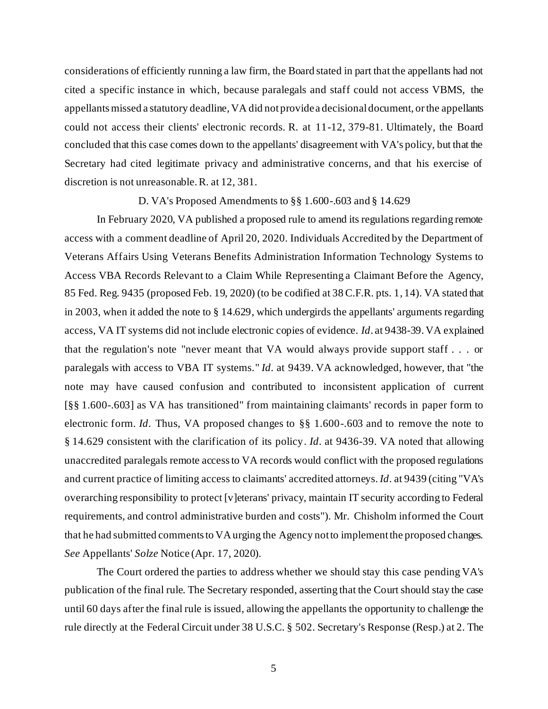considerations of efficiently running a law firm, the Board stated in part that the appellants had not cited a specific instance in which, because paralegals and staff could not access VBMS, the appellants missed a statutory deadline, VA did not provide a decisional document, or the appellants could not access their clients' electronic records. R. at 11-12, 379-81. Ultimately, the Board concluded that this case comes down to the appellants' disagreement with VA's policy, but that the Secretary had cited legitimate privacy and administrative concerns, and that his exercise of discretion is not unreasonable. R. at 12, 381.

D. VA's Proposed Amendments to §§ 1.600-.603 and § 14.629

In February 2020, VA published a proposed rule to amend its regulations regarding remote access with a comment deadline of April 20, 2020. Individuals Accredited by the Department of Veterans Affairs Using Veterans Benefits Administration Information Technology Systems to Access VBA Records Relevant to a Claim While Representing a Claimant Before the Agency, 85 Fed. Reg. 9435 (proposed Feb. 19, 2020) (to be codified at 38 C.F.R. pts. 1, 14). VA stated that in 2003, when it added the note to § 14.629, which undergirds the appellants' arguments regarding access, VA IT systems did not include electronic copies of evidence. *Id*. at 9438-39. VA explained that the regulation's note "never meant that VA would always provide support staff . . . or paralegals with access to VBA IT systems." *Id*. at 9439. VA acknowledged, however, that "the note may have caused confusion and contributed to inconsistent application of current [§§ 1.600-.603] as VA has transitioned" from maintaining claimants' records in paper form to electronic form. *Id*. Thus, VA proposed changes to §§ 1.600-.603 and to remove the note to § 14.629 consistent with the clarification of its policy. *Id*. at 9436-39. VA noted that allowing unaccredited paralegals remote access to VA records would conflict with the proposed regulations and current practice of limiting access to claimants' accredited attorneys. *Id*. at 9439 (citing "VA's overarching responsibility to protect [v]eterans' privacy, maintain IT security according to Federal requirements, and control administrative burden and costs"). Mr. Chisholm informed the Court that he had submitted comments to VA urging the Agency not to implement the proposed changes. *See* Appellants' *Solze* Notice (Apr. 17, 2020).

The Court ordered the parties to address whether we should stay this case pending VA's publication of the final rule. The Secretary responded, asserting that the Court should stay the case until 60 days after the final rule is issued, allowing the appellants the opportunity to challenge the rule directly at the Federal Circuit under 38 U.S.C. § 502. Secretary's Response (Resp.) at 2. The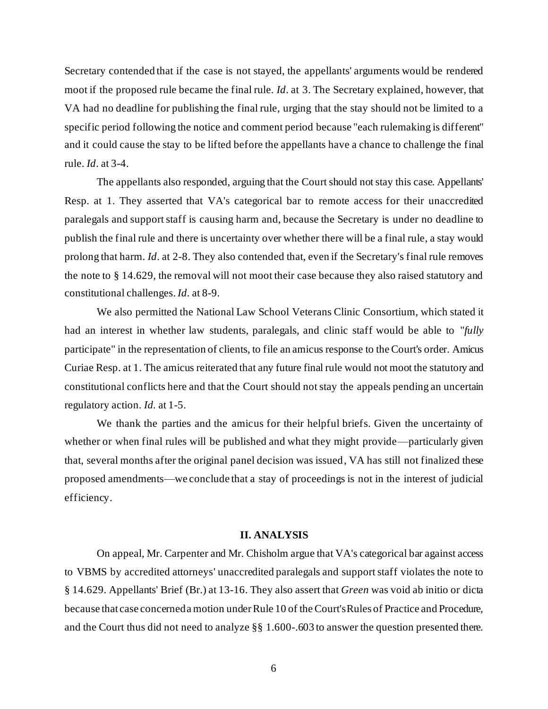Secretary contended that if the case is not stayed, the appellants' arguments would be rendered moot if the proposed rule became the final rule. *Id*. at 3. The Secretary explained, however, that VA had no deadline for publishing the final rule, urging that the stay should not be limited to a specific period following the notice and comment period because "each rulemaking is different" and it could cause the stay to be lifted before the appellants have a chance to challenge the final rule. *Id*. at 3-4.

The appellants also responded, arguing that the Court should not stay this case. Appellants' Resp. at 1. They asserted that VA's categorical bar to remote access for their unaccredited paralegals and support staff is causing harm and, because the Secretary is under no deadline to publish the final rule and there is uncertainty over whether there will be a final rule, a stay would prolong that harm. *Id*. at 2-8. They also contended that, even if the Secretary's final rule removes the note to § 14.629, the removal will not moot their case because they also raised statutory and constitutional challenges. *Id*. at 8-9.

We also permitted the National Law School Veterans Clinic Consortium, which stated it had an interest in whether law students, paralegals, and clinic staff would be able to "*fully* participate" in the representation of clients, to file an amicus response to the Court's order. Amicus Curiae Resp. at 1. The amicus reiterated that any future final rule would not moot the statutory and constitutional conflicts here and that the Court should not stay the appeals pending an uncertain regulatory action. *Id.* at 1-5.

We thank the parties and the amicus for their helpful briefs. Given the uncertainty of whether or when final rules will be published and what they might provide—particularly given that, several months after the original panel decision was issued, VA has still not finalized these proposed amendments—we conclude that a stay of proceedings is not in the interest of judicial efficiency.

#### **II. ANALYSIS**

On appeal, Mr. Carpenter and Mr. Chisholm argue that VA's categorical bar against access to VBMS by accredited attorneys' unaccredited paralegals and support staff violates the note to § 14.629. Appellants' Brief (Br.) at 13-16. They also assert that *Green* was void ab initio or dicta because that case concerned a motion under Rule 10 of the Court's Rules of Practice and Procedure, and the Court thus did not need to analyze §§ 1.600-.603 to answer the question presented there.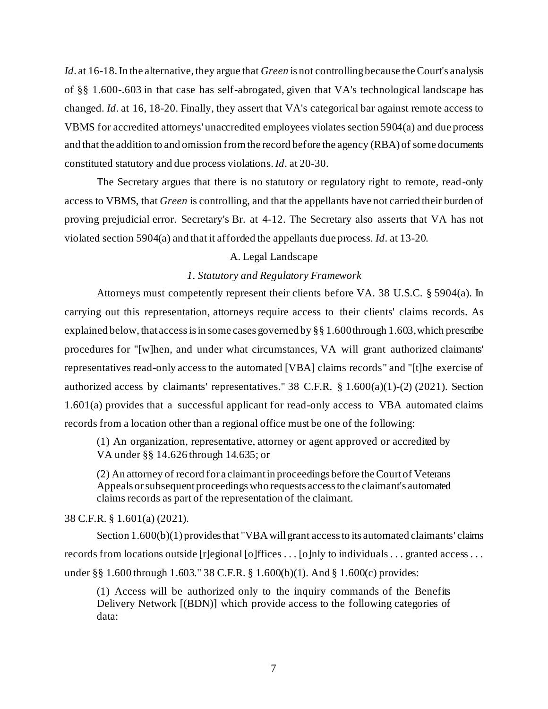*Id*. at 16-18. In the alternative, they argue that *Green* is not controllingbecause the Court's analysis of §§ 1.600-.603 in that case has self-abrogated, given that VA's technological landscape has changed. *Id*. at 16, 18-20. Finally, they assert that VA's categorical bar against remote access to VBMS for accredited attorneys' unaccredited employees violates section 5904(a) and due process and that the addition to and omission from the record before the agency (RBA) of some documents constituted statutory and due process violations.*Id*. at 20-30.

The Secretary argues that there is no statutory or regulatory right to remote, read-only access to VBMS, that *Green* is controlling, and that the appellants have not carried their burden of proving prejudicial error. Secretary's Br. at 4-12. The Secretary also asserts that VA has not violated section 5904(a) and that it afforded the appellants due process. *Id*. at 13-20.

## A. Legal Landscape

## *1. Statutory and Regulatory Framework*

Attorneys must competently represent their clients before VA. 38 U.S.C. § 5904(a). In carrying out this representation, attorneys require access to their clients' claims records. As explained below, that access is in some cases governed by §§ 1.600 through 1.603, which prescribe procedures for "[w]hen, and under what circumstances, VA will grant authorized claimants' representatives read-only access to the automated [VBA] claims records" and "[t]he exercise of authorized access by claimants' representatives." 38 C.F.R.  $\S 1.600(a)(1)-(2)(2021)$ . Section 1.601(a) provides that a successful applicant for read-only access to VBA automated claims records from a location other than a regional office must be one of the following:

(1) An organization, representative, attorney or agent approved or accredited by VA under §§ 14.626 through 14.635; or

(2) An attorney of record for a claimant in proceedings before the Court of Veterans Appeals or subsequent proceedings who requests access to the claimant's automated claims records as part of the representation of the claimant.

# 38 C.F.R. § 1.601(a) (2021).

Section 1.600(b)(1) provides that "VBA will grant access to its automated claimants' claims records from locations outside [r]egional [o]ffices . . . [o]nly to individuals . . . granted access . . . under §§ 1.600 through 1.603." 38 C.F.R. § 1.600(b)(1). And § 1.600(c) provides:

(1) Access will be authorized only to the inquiry commands of the Benefits Delivery Network [(BDN)] which provide access to the following categories of data: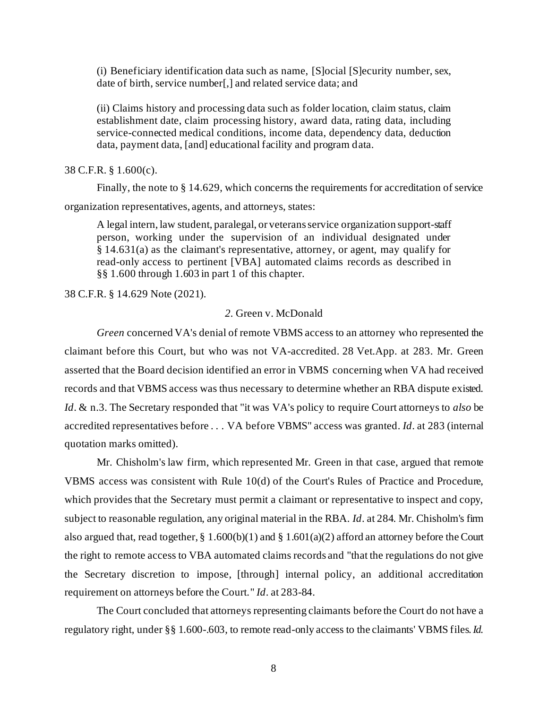(i) Beneficiary identification data such as name, [S]ocial [S]ecurity number, sex, date of birth, service number[,] and related service data; and

(ii) Claims history and processing data such as folder location, claim status, claim establishment date, claim processing history, award data, rating data, including service-connected medical conditions, income data, dependency data, deduction data, payment data, [and] educational facility and program data.

38 C.F.R. § 1.600(c).

Finally, the note to § 14.629, which concerns the requirements for accreditation of service

organization representatives, agents, and attorneys, states:

A legal intern, law student, paralegal, or veterans service organization support-staff person, working under the supervision of an individual designated under § 14.631(a) as the claimant's representative, attorney, or agent, may qualify for read-only access to pertinent [VBA] automated claims records as described in §§ 1.600 through 1.603 in part 1 of this chapter.

38 C.F.R. § 14.629 Note (2021).

### *2.* Green v. McDonald

*Green* concerned VA's denial of remote VBMS access to an attorney who represented the claimant before this Court, but who was not VA-accredited. 28 Vet.App. at 283. Mr. Green asserted that the Board decision identified an error in VBMS concerning when VA had received records and that VBMS access was thus necessary to determine whether an RBA dispute existed. *Id*. & n.3. The Secretary responded that "it was VA's policy to require Court attorneys to *also* be accredited representatives before . . . VA before VBMS" access was granted. *Id*. at 283 (internal quotation marks omitted).

Mr. Chisholm's law firm, which represented Mr. Green in that case, argued that remote VBMS access was consistent with Rule 10(d) of the Court's Rules of Practice and Procedure, which provides that the Secretary must permit a claimant or representative to inspect and copy, subject to reasonable regulation, any original material in the RBA. *Id*. at 284. Mr. Chisholm's firm also argued that, read together, § 1.600(b)(1) and § 1.601(a)(2) afford an attorney before the Court the right to remote access to VBA automated claims records and "that the regulations do not give the Secretary discretion to impose, [through] internal policy, an additional accreditation requirement on attorneys before the Court." *Id*. at 283-84.

The Court concluded that attorneys representing claimants before the Court do not have a regulatory right, under §§ 1.600-.603, to remote read-only access to the claimants' VBMS files. *Id.*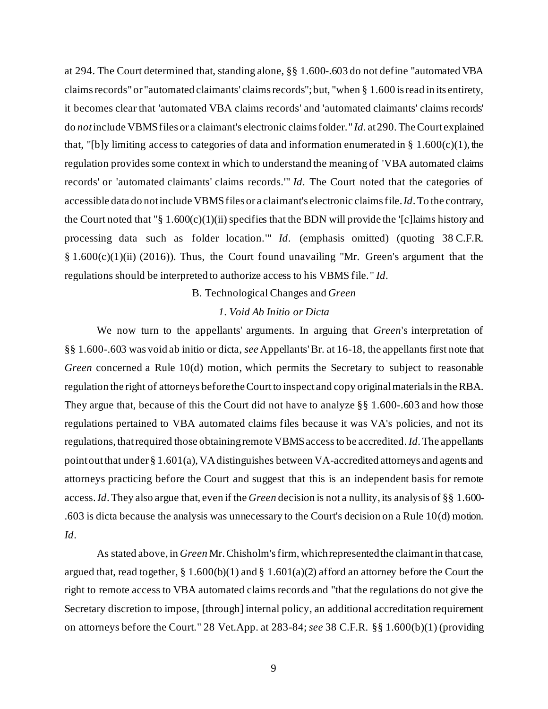at 294. The Court determined that, standing alone, §§ 1.600-.603 do not define "automated VBA claims records" or "automated claimants' claims records";but, "when § 1.600 is read in its entirety, it becomes clear that 'automated VBA claims records' and 'automated claimants' claims records' do *not*include VBMS files or a claimant's electronic claims folder." *Id.* at 290. TheCourt explained that, "[b]y limiting access to categories of data and information enumerated in § 1.600 $(c)(1)$ , the regulation provides some context in which to understand the meaning of 'VBA automated claims records' or 'automated claimants' claims records.'" *Id*. The Court noted that the categories of accessible data do not include VBMS files or a claimant's electronic claims file. *Id*. To the contrary, the Court noted that " $\S 1.600(c)(1)(ii)$  specifies that the BDN will provide the '[c] laims history and processing data such as folder location.'" *Id*. (emphasis omitted) (quoting 38 C.F.R.  $§ 1.600(c)(1)(ii) (2016)$ . Thus, the Court found unavailing "Mr. Green's argument that the regulations should be interpreted to authorize access to his VBMS file." *Id*.

#### B. Technological Changes and *Green*

## *1. Void Ab Initio or Dicta*

We now turn to the appellants' arguments. In arguing that *Green*'s interpretation of §§ 1.600-.603 was void ab initio or dicta, *see* Appellants'Br. at 16-18, the appellants first note that *Green* concerned a Rule 10(d) motion, which permits the Secretary to subject to reasonable regulation the right of attorneys before the Court to inspect and copy original materials in the RBA. They argue that, because of this the Court did not have to analyze §§ 1.600-.603 and how those regulations pertained to VBA automated claims files because it was VA's policies, and not its regulations, that required those obtaining remote VBMS accessto be accredited. *Id*. The appellants point out that under § 1.601(a), VA distinguishes between VA-accredited attorneys and agents and attorneys practicing before the Court and suggest that this is an independent basis for remote access. *Id*.They also argue that, even if the *Green* decision is not a nullity, its analysis of §§ 1.600- .603 is dicta because the analysis was unnecessary to the Court's decision on a Rule 10(d) motion. *Id*.

As stated above, in *Green* Mr. Chisholm's firm, whichrepresented the claimant in that case, argued that, read together, § 1.600(b)(1) and § 1.601(a)(2) afford an attorney before the Court the right to remote access to VBA automated claims records and "that the regulations do not give the Secretary discretion to impose, [through] internal policy, an additional accreditation requirement on attorneys before the Court." 28 Vet.App. at 283-84; *see* 38 C.F.R. §§ 1.600(b)(1) (providing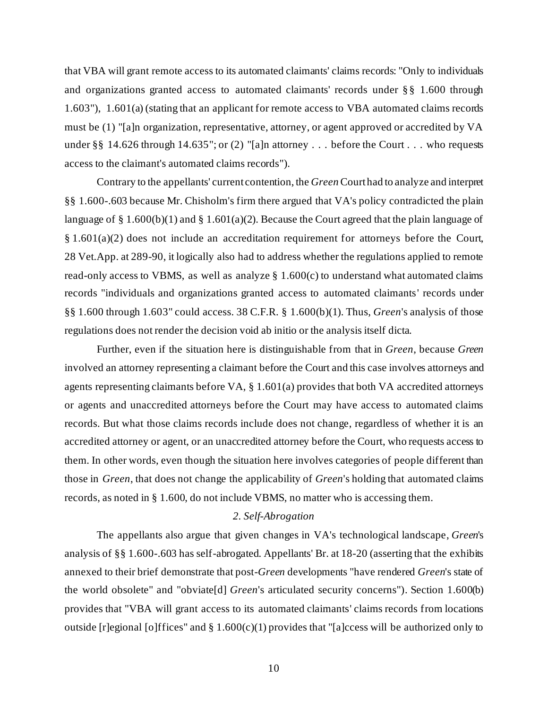that VBA will grant remote access to its automated claimants' claims records: "Only to individuals and organizations granted access to automated claimants' records under §§ 1.600 through 1.603"), 1.601(a) (stating that an applicant for remote access to VBA automated claims records must be (1) "[a]n organization, representative, attorney, or agent approved or accredited by VA under §§ 14.626 through 14.635"; or (2) "[a]n attorney . . . before the Court . . . who requests access to the claimant's automated claims records").

Contrary to the appellants' current contention, the *Green* Court had to analyze and interpret §§ 1.600-.603 because Mr. Chisholm's firm there argued that VA's policy contradicted the plain language of § 1.600(b)(1) and § 1.601(a)(2). Because the Court agreed that the plain language of § 1.601(a)(2) does not include an accreditation requirement for attorneys before the Court, 28 Vet.App. at 289-90, it logically also had to address whether the regulations applied to remote read-only access to VBMS, as well as analyze  $\S 1.600(c)$  to understand what automated claims records "individuals and organizations granted access to automated claimants' records under §§ 1.600 through 1.603" could access. 38 C.F.R. § 1.600(b)(1). Thus, *Green*'s analysis of those regulations does not render the decision void ab initio or the analysis itself dicta.

Further, even if the situation here is distinguishable from that in *Green*, because *Green* involved an attorney representing a claimant before the Court and this case involves attorneys and agents representing claimants before VA, § 1.601(a) provides that both VA accredited attorneys or agents and unaccredited attorneys before the Court may have access to automated claims records. But what those claims records include does not change, regardless of whether it is an accredited attorney or agent, or an unaccredited attorney before the Court, who requests access to them. In other words, even though the situation here involves categories of people different than those in *Green*, that does not change the applicability of *Green*'s holding that automated claims records, as noted in § 1.600, do not include VBMS, no matter who is accessing them.

# *2. Self-Abrogation*

The appellants also argue that given changes in VA's technological landscape, *Green*'s analysis of §§ 1.600-.603 has self-abrogated. Appellants' Br. at 18-20 (asserting that the exhibits annexed to their brief demonstrate that post-*Green* developments "have rendered *Green*'s state of the world obsolete" and "obviate[d] *Green*'s articulated security concerns"). Section 1.600(b) provides that "VBA will grant access to its automated claimants' claims records from locations outside [r]egional [o]ffices" and  $\S 1.600(c)(1)$  provides that "[a]ccess will be authorized only to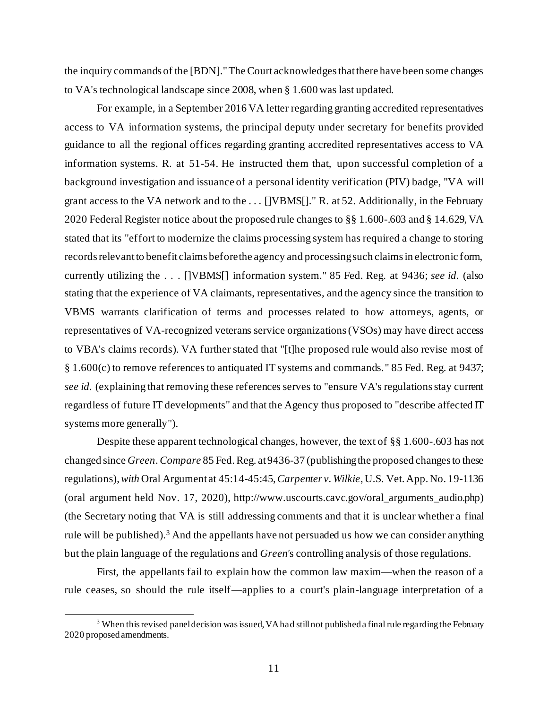the inquiry commands of the [BDN]."The Court acknowledgesthat there have been some changes to VA's technological landscape since 2008, when § 1.600 was last updated.

For example, in a September 2016 VA letter regarding granting accredited representatives access to VA information systems, the principal deputy under secretary for benefits provided guidance to all the regional offices regarding granting accredited representatives access to VA information systems. R. at 51-54. He instructed them that, upon successful completion of a background investigation and issuance of a personal identity verification (PIV) badge, "VA will grant access to the VA network and to the . . . []VBMS[]." R. at 52. Additionally, in the February 2020 Federal Register notice about the proposed rule changes to §§ 1.600-.603 and § 14.629, VA stated that its "effort to modernize the claims processing system has required a change to storing records relevant to benefit claims before the agency and processing such claims in electronic form, currently utilizing the . . . []VBMS[] information system." 85 Fed. Reg. at 9436; *see id.* (also stating that the experience of VA claimants, representatives, and the agency since the transition to VBMS warrants clarification of terms and processes related to how attorneys, agents, or representatives of VA-recognized veterans service organizations (VSOs) may have direct access to VBA's claims records). VA further stated that "[t]he proposed rule would also revise most of § 1.600(c) to remove references to antiquated IT systems and commands." 85 Fed. Reg. at 9437; *see id.* (explaining that removing these references serves to "ensure VA's regulations stay current regardless of future IT developments" and that the Agency thus proposed to "describe affected IT systems more generally").

Despite these apparent technological changes, however, the text of §§ 1.600-.603 has not changed since *Green*. *Compare* 85 Fed. Reg. at 9436-37 (publishing the proposed changes to these regulations),*with* Oral Argument at 45:14-45:45, *Carpenter v. Wilkie*, U.S. Vet. App. No. 19-1136 (oral argument held Nov. 17, 2020), [http://www.uscourts.cavc.gov/oral\\_arguments\\_audio.php\)](http://www.uscourts.cavc.gov/oral_arguments_audio.php) (the Secretary noting that VA is still addressing comments and that it is unclear whether a final rule will be published).<sup>3</sup> And the appellants have not persuaded us how we can consider anything but the plain language of the regulations and *Green'*s controlling analysis of those regulations.

First, the appellants fail to explain how the common law maxim—when the reason of a rule ceases, so should the rule itself—applies to a court's plain-language interpretation of a

<sup>&</sup>lt;sup>3</sup> When this revised panel decision was issued, VA had still not published a final rule regarding the February 2020 proposed amendments.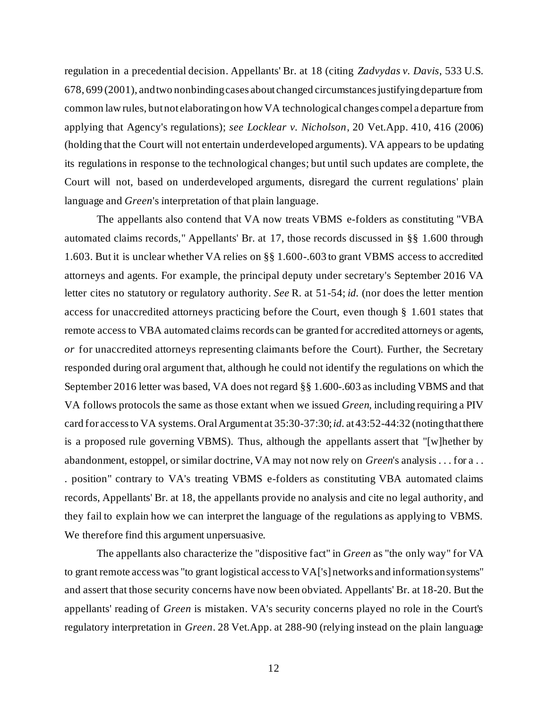regulation in a precedential decision. Appellants' Br. at 18 (citing *Zadvydas v. Davis*, 533 U.S. 678, 699 (2001), and two nonbinding cases about changed circumstances justifying departure from common law rules, but not elaborating on how VA technological changes compel a departure from applying that Agency's regulations); *see Locklear v. Nicholson*, 20 Vet.App. 410, 416 (2006) (holding that the Court will not entertain underdeveloped arguments). VA appears to be updating its regulations in response to the technological changes; but until such updates are complete, the Court will not, based on underdeveloped arguments, disregard the current regulations' plain language and *Green*'s interpretation of that plain language.

The appellants also contend that VA now treats VBMS e-folders as constituting "VBA automated claims records," Appellants' Br. at 17, those records discussed in §§ 1.600 through 1.603. But it is unclear whether VA relies on §§ 1.600-.603 to grant VBMS access to accredited attorneys and agents. For example, the principal deputy under secretary's September 2016 VA letter cites no statutory or regulatory authority. *See* R. at 51-54; *id.* (nor does the letter mention access for unaccredited attorneys practicing before the Court, even though § 1.601 states that remote access to VBA automated claims records can be granted for accredited attorneys or agents, *or* for unaccredited attorneys representing claimants before the Court). Further, the Secretary responded during oral argument that, although he could not identify the regulations on which the September 2016 letter was based, VA does not regard §§ 1.600-.603 as including VBMS and that VA follows protocols the same as those extant when we issued *Green*, including requiring a PIV card for access to VA systems. Oral Argument at 35:30-37:30; *id.* at 43:52-44:32 (notingthat there is a proposed rule governing VBMS). Thus, although the appellants assert that "[w]hether by abandonment, estoppel, or similar doctrine, VA may not now rely on *Green*'s analysis . . . for a . . . position" contrary to VA's treating VBMS e-folders as constituting VBA automated claims records, Appellants' Br. at 18, the appellants provide no analysis and cite no legal authority, and they fail to explain how we can interpret the language of the regulations as applying to VBMS. We therefore find this argument unpersuasive.

The appellants also characterize the "dispositive fact" in *Green* as "the only way" for VA to grant remote access was "to grant logistical access to VA['s] networks and information systems" and assert that those security concerns have now been obviated. Appellants' Br. at 18-20. But the appellants' reading of *Green* is mistaken. VA's security concerns played no role in the Court's regulatory interpretation in *Green*. 28 Vet.App. at 288-90 (relying instead on the plain language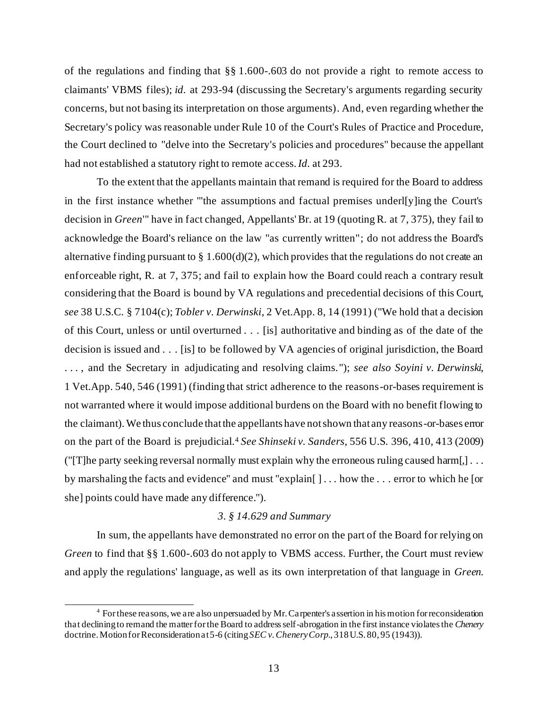of the regulations and finding that §§ 1.600-.603 do not provide a right to remote access to claimants' VBMS files); *id.* at 293-94 (discussing the Secretary's arguments regarding security concerns, but not basing its interpretation on those arguments). And, even regarding whether the Secretary's policy was reasonable under Rule 10 of the Court's Rules of Practice and Procedure, the Court declined to "delve into the Secretary's policies and procedures" because the appellant had not established a statutory right to remote access. *Id.* at 293.

To the extent that the appellants maintain that remand is required for the Board to address in the first instance whether "'the assumptions and factual premises underl[y]ing the Court's decision in *Green*'" have in fact changed, Appellants' Br. at 19 (quoting R. at 7, 375), they fail to acknowledge the Board's reliance on the law "as currently written"; do not address the Board's alternative finding pursuant to  $\S 1.600(d)(2)$ , which provides that the regulations do not create an enforceable right, R. at 7, 375; and fail to explain how the Board could reach a contrary result considering that the Board is bound by VA regulations and precedential decisions of this Court, *see* 38 U.S.C. § 7104(c); *Tobler v. Derwinski*, [2 Vet.App. 8, 14 \(1991\)](https://1.next.westlaw.com/Link/Document/FullText?findType=Y&serNum=1991200128&pubNum=463&originatingDoc=If55f47e7568d11d997e0acd5cbb90d3f&refType=RP&fi=co_pp_sp_463_14&originationContext=document&transitionType=DocumentItem&contextData=(sc.Search)#co_pp_sp_463_14) ("We hold that a decision of this Court, unless or until overturned . . . [is] authoritative and binding as of the date of the decision is issued and . . . [is] to be followed by VA agencies of original jurisdiction, the Board . . . , and the Secretary in adjudicating and resolving claims."); *see also Soyini v. Derwinski*, 1 Vet.App. 540, 546 (1991) (finding that strict adherence to the reasons-or-bases requirement is not warranted where it would impose additional burdens on the Board with no benefit flowing to the claimant).We thus conclude that the appellants have not shown that any reasons-or-bases error on the part of the Board is prejudicial.<sup>4</sup> *See Shinseki v. Sanders*, 556 U.S. 396, 410, 413 (2009) ("[T]he party seeking reversal normally must explain why the erroneous ruling caused harm $[] \dots$ by marshaling the facts and evidence" and must "explain[ ] . . . how the . . . error to which he [or she] points could have made any difference.").

# *3. § 14.629 and Summary*

In sum, the appellants have demonstrated no error on the part of the Board for relying on *Green* to find that §§ 1.600-.603 do not apply to VBMS access. Further, the Court must review and apply the regulations' language, as well as its own interpretation of that language in *Green*.

<sup>4</sup> For these reasons, we are also unpersuaded by Mr. Carpenter's assertion in his motion for reconsideration that declining to remand the matter for the Board to address self-abrogation in the first instance violates the *Chenery* doctrine. Motion for Reconsideration at 5-6 (citing*SEC v. Chenery Corp*., 318 U.S. 80, 95 (1943)).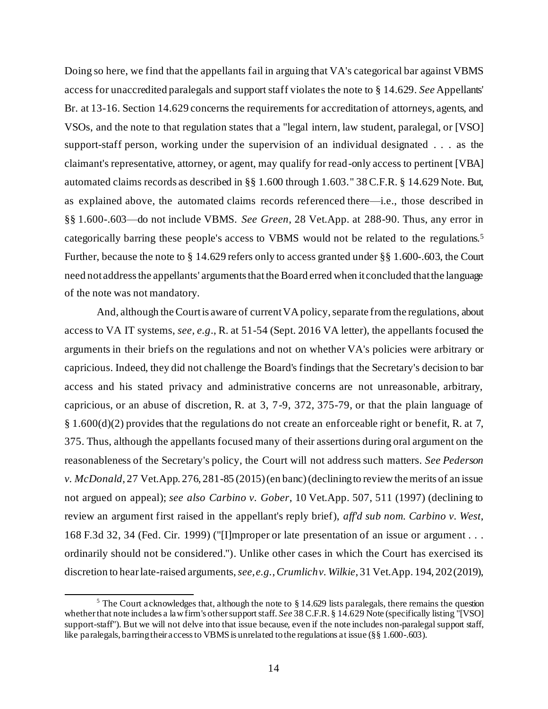Doing so here, we find that the appellants fail in arguing that VA's categorical bar against VBMS access for unaccredited paralegals and support staff violates the note to § 14.629. *See* Appellants' Br. at 13-16. Section 14.629 concerns the requirements for accreditation of attorneys, agents, and VSOs, and the note to that regulation states that a "legal intern, law student, paralegal, or [VSO] support-staff person, working under the supervision of an individual designated . . . as the claimant's representative, attorney, or agent, may qualify for read-only access to pertinent [VBA] automated claims records as described in §§ 1.600 through 1.603." 38C.F.R. § 14.629 Note. But, as explained above, the automated claims records referenced there—i.e., those described in §§ 1.600-.603—do not include VBMS. *See Green*, 28 Vet.App. at 288-90. Thus, any error in categorically barring these people's access to VBMS would not be related to the regulations.<sup>5</sup> Further, because the note to § 14.629 refers only to access granted under §§ 1.600-.603, the Court need not address the appellants' arguments that the Board erred when it concluded that the language of the note was not mandatory.

And, although the Court is aware of current VA policy, separate from the regulations, about access to VA IT systems, *see, e.g*., R. at 51-54 (Sept. 2016 VA letter), the appellants focused the arguments in their briefs on the regulations and not on whether VA's policies were arbitrary or capricious. Indeed, they did not challenge the Board's findings that the Secretary's decision to bar access and his stated privacy and administrative concerns are not unreasonable, arbitrary, capricious, or an abuse of discretion, R. at 3, 7-9, 372, 375-79, or that the plain language of § 1.600(d)(2) provides that the regulations do not create an enforceable right or benefit, R. at 7, 375. Thus, although the appellants focused many of their assertions during oral argument on the reasonableness of the Secretary's policy, the Court will not address such matters. *See Pederson v. McDonald*, 27 Vet.App. 276, 281-85 (2015) (en banc) (declining to review the merits of an issue not argued on appeal); *see also Carbino v. Gober*, 10 Vet.App. 507, 511 (1997) (declining to review an argument first raised in the appellant's reply brief), *aff'd sub nom. Carbino v. West*, 168 F.3d 32, 34 (Fed. Cir. 1999) ("[I]mproper or late presentation of an issue or argument . . . ordinarily should not be considered."). Unlike other cases in which the Court has exercised its discretion to hear late-raised arguments, *see, e.g.*, *Crumlich v. Wilkie*, 31 Vet.App. 194, 202 (2019),

<sup>&</sup>lt;sup>5</sup> The Court acknowledges that, although the note to  $\S$  14.629 lists paralegals, there remains the question whether that note includes a law firm's other support staff. *See* 38 C.F.R. § 14.629 Note (specifically listing "[VSO] support-staff"). But we will not delve into that issue because, even if the note includes non-paralegal support staff, like paralegals, barring their access to VBMS is unrelated to the regulations at issue (§§ 1.600-.603).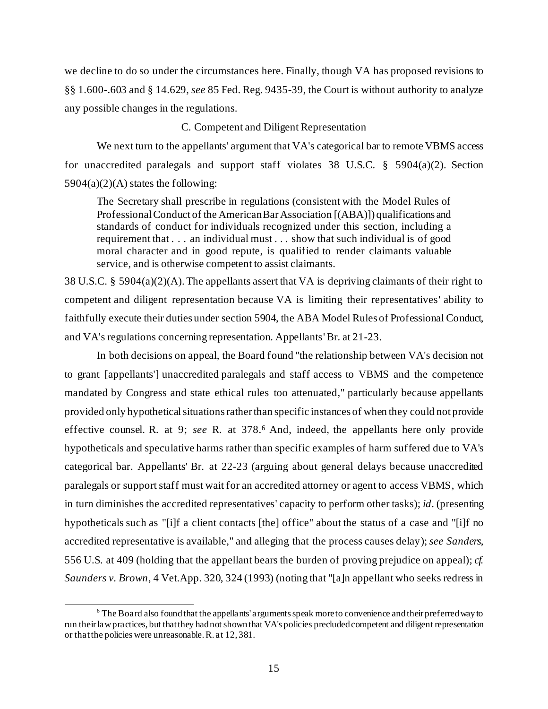we decline to do so under the circumstances here. Finally, though VA has proposed revisions to §§ 1.600-.603 and § 14.629, *see* 85 Fed. Reg. 9435-39, the Court is without authority to analyze any possible changes in the regulations.

### C. Competent and Diligent Representation

We next turn to the appellants' argument that VA's categorical bar to remote VBMS access for unaccredited paralegals and support staff violates 38 U.S.C. § 5904(a)(2). Section  $5904(a)(2)(A)$  states the following:

The Secretary shall prescribe in regulations (consistent with the Model Rules of Professional Conduct of the American Bar Association [(ABA)]) qualifications and standards of conduct for individuals recognized under this section, including a requirement that . . . an individual must . . . show that such individual is of good moral character and in good repute, is qualified to render claimants valuable service, and is otherwise competent to assist claimants.

38 U.S.C. § 5904(a)(2)(A). The appellants assert that VA is depriving claimants of their right to competent and diligent representation because VA is limiting their representatives' ability to faithfully execute their duties under section 5904, the ABA Model Rules of Professional Conduct, and VA's regulations concerning representation. Appellants'Br. at 21-23.

In both decisions on appeal, the Board found "the relationship between VA's decision not to grant [appellants'] unaccredited paralegals and staff access to VBMS and the competence mandated by Congress and state ethical rules too attenuated," particularly because appellants provided only hypothetical situations rather than specific instances of when they could not provide effective counsel. R. at 9; *see* R. at 378. <sup>6</sup> And, indeed, the appellants here only provide hypotheticals and speculative harms rather than specific examples of harm suffered due to VA's categorical bar. Appellants' Br. at 22-23 (arguing about general delays because unaccredited paralegals or support staff must wait for an accredited attorney or agent to access VBMS, which in turn diminishes the accredited representatives' capacity to perform other tasks); *id*. (presenting hypotheticals such as "[i]f a client contacts [the] office" about the status of a case and "[i]f no accredited representative is available," and alleging that the process causes delay); *see Sanders*, 556 U.S. at 409 (holding that the appellant bears the burden of proving prejudice on appeal); *cf. Saunders v. Brown*, 4 Vet.App. 320, 324 (1993) (noting that "[a]n appellant who seeks redress in

<sup>6</sup> The Board also found that the appellants' arguments speak more to convenience and their preferred way to run their law practices, but that they had not shown that VA's policies precluded competent and diligent representation or that the policies were unreasonable. R. at 12, 381.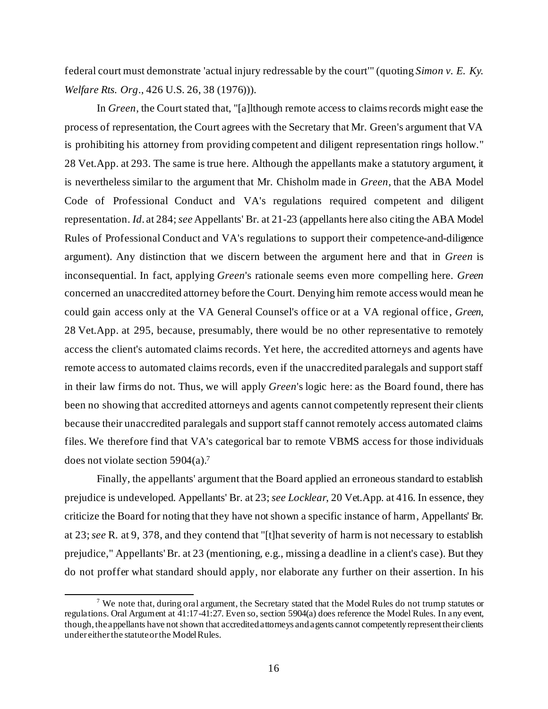federal court must demonstrate 'actual injury redressable by the court'" (quoting *Simon v. E. Ky. Welfare Rts. Org*., 426 U.S. 26, 38 (1976))).

In *Green*, the Court stated that, "[a]lthough remote access to claims records might ease the process of representation, the Court agrees with the Secretary that Mr. Green's argument that VA is prohibiting his attorney from providing competent and diligent representation rings hollow." 28 Vet.App. at 293. The same is true here. Although the appellants make a statutory argument, it is nevertheless similar to the argument that Mr. Chisholm made in *Green*, that the ABA Model Code of Professional Conduct and VA's regulations required competent and diligent representation. *Id*. at 284; *see* Appellants' Br. at 21-23 (appellants here also citing the ABA Model Rules of Professional Conduct and VA's regulations to support their competence-and-diligence argument). Any distinction that we discern between the argument here and that in *Green* is inconsequential. In fact, applying *Green*'s rationale seems even more compelling here. *Green* concerned an unaccredited attorney before the Court. Denying him remote access would mean he could gain access only at the VA General Counsel's office or at a VA regional office , *Green*, 28 Vet.App. at 295, because, presumably, there would be no other representative to remotely access the client's automated claims records. Yet here, the accredited attorneys and agents have remote access to automated claims records, even if the unaccredited paralegals and support staff in their law firms do not. Thus, we will apply *Green*'s logic here: as the Board found, there has been no showing that accredited attorneys and agents cannot competently represent their clients because their unaccredited paralegals and support staff cannot remotely access automated claims files. We therefore find that VA's categorical bar to remote VBMS access for those individuals does not violate section 5904(a). 7

Finally, the appellants' argument that the Board applied an erroneous standard to establish prejudice is undeveloped. Appellants' Br. at 23; *see Locklear*, 20 Vet.App. at 416. In essence, they criticize the Board for noting that they have not shown a specific instance of harm, Appellants' Br. at 23; *see* R. at 9, 378, and they contend that "[t]hat severity of harm is not necessary to establish prejudice," Appellants'Br. at 23 (mentioning, e.g., missing a deadline in a client's case). But they do not proffer what standard should apply, nor elaborate any further on their assertion. In his

<sup>&</sup>lt;sup>7</sup> We note that, during oral argument, the Secretary stated that the Model Rules do not trump statutes or regulations. Oral Argument at 41:17-41:27. Even so, section 5904(a) does reference the Model Rules. In any event, though, the appellants have not shown that accredited attorneys and agents cannot competently represent their clients under either the statute or the Model Rules.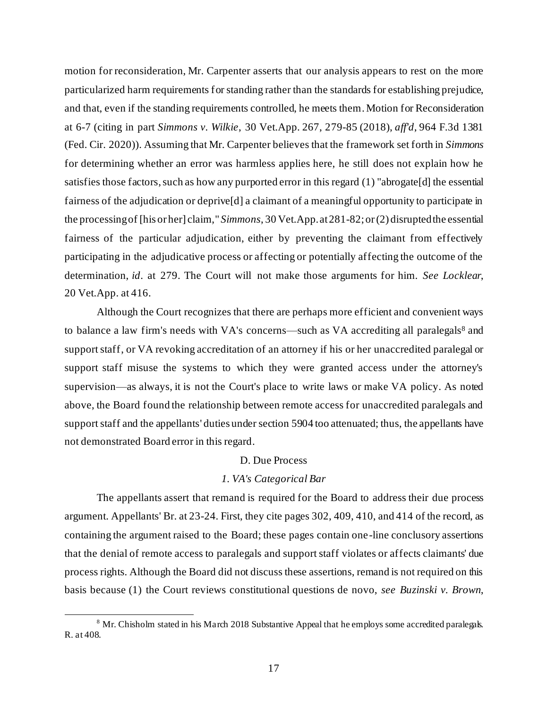motion for reconsideration, Mr. Carpenter asserts that our analysis appears to rest on the more particularized harm requirements for standing rather than the standards for establishing prejudice, and that, even if the standing requirements controlled, he meets them. Motion for Reconsideration at 6-7 (citing in part *Simmons v. Wilkie*, 30 Vet.App. 267, 279-85 (2018), *aff'd*, 964 F.3d 1381 (Fed. Cir. 2020)). Assuming that Mr. Carpenter believes that the framework set forth in *Simmons* for determining whether an error was harmless applies here, he still does not explain how he satisfies those factors, such as how any purported error in this regard (1) "abrogate[d] the essential fairness of the adjudication or deprive[d] a claimant of a meaningful opportunity to participate in the processing of [his or her] claim," *Simmons*, 30 Vet.App. at 281-82; or (2) disrupted the essential fairness of the particular adjudication, either by preventing the claimant from effectively participating in the adjudicative process or affecting or potentially affecting the outcome of the determination, *id*. at 279. The Court will not make those arguments for him. *See Locklear*, 20 Vet.App. at 416.

Although the Court recognizes that there are perhaps more efficient and convenient ways to balance a law firm's needs with VA's concerns—such as VA accrediting all paralegals<sup>8</sup> and support staff, or VA revoking accreditation of an attorney if his or her unaccredited paralegal or support staff misuse the systems to which they were granted access under the attorney's supervision—as always, it is not the Court's place to write laws or make VA policy. As noted above, the Board found the relationship between remote access for unaccredited paralegals and support staff and the appellants' duties under section 5904 too attenuated; thus, the appellants have not demonstrated Board error in this regard.

# D. Due Process

### *1. VA's Categorical Bar*

The appellants assert that remand is required for the Board to address their due process argument. Appellants' Br. at 23-24. First, they cite pages 302, 409, 410, and 414 of the record, as containing the argument raised to the Board; these pages contain one-line conclusory assertions that the denial of remote access to paralegals and support staff violates or affects claimants' due process rights. Although the Board did not discuss these assertions, remand is not required on this basis because (1) the Court reviews constitutional questions de novo, *see Buzinski v. Brown*,

<sup>&</sup>lt;sup>8</sup> Mr. Chisholm stated in his March 2018 Substantive Appeal that he employs some accredited paralegals. R. at 408.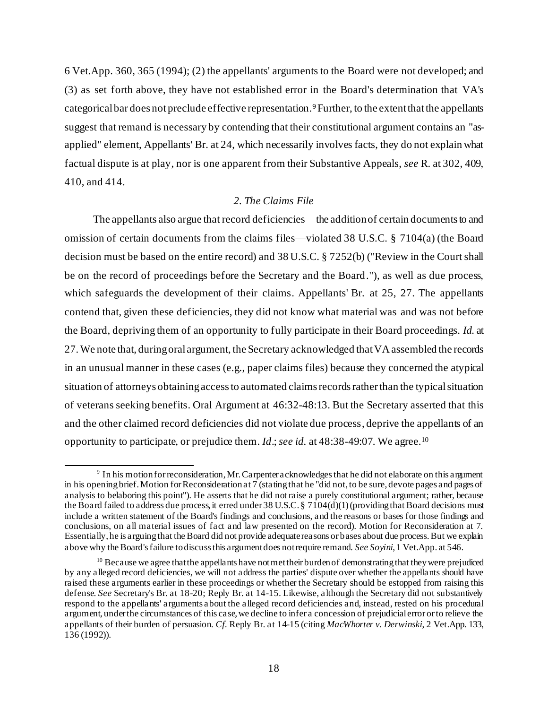6 Vet.App. 360, 365 (1994); (2) the appellants' arguments to the Board were not developed; and (3) as set forth above, they have not established error in the Board's determination that VA's categorical bar does not preclude effective representation.9Further, to the extent that the appellants suggest that remand is necessary by contending that their constitutional argument contains an "asapplied" element, Appellants' Br. at 24, which necessarily involves facts, they do not explain what factual dispute is at play, nor is one apparent from their Substantive Appeals, *see* R. at 302, 409, 410, and 414.

# *2. The Claims File*

The appellants also argue that record deficiencies—the additionof certain documents to and omission of certain documents from the claims files—violated 38 U.S.C. § 7104(a) (the Board decision must be based on the entire record) and 38 U.S.C. § 7252(b) ("Review in the Court shall be on the record of proceedings before the Secretary and the Board."), as well as due process, which safeguards the development of their claims. Appellants' Br. at 25, 27. The appellants contend that, given these deficiencies, they did not know what material was and was not before the Board, depriving them of an opportunity to fully participate in their Board proceedings. *Id*. at 27. We note that, during oral argument, the Secretary acknowledged that VA assembled the records in an unusual manner in these cases (e.g., paper claims files) because they concerned the atypical situation of attorneys obtainingaccess to automated claims records rather than the typical situation of veterans seeking benefits. Oral Argument at 46:32-48:13. But the Secretary asserted that this and the other claimed record deficiencies did not violate due process, deprive the appellants of an opportunity to participate, or prejudice them. *Id*.; *see id.* at 48:38-49:07. We agree.<sup>10</sup>

<sup>&</sup>lt;sup>9</sup> In his motion for reconsideration, Mr. Carpenter acknowledges that he did not elaborate on this argument in his opening brief. Motion for Reconsideration at 7 (stating that he "did not, to be sure, devote pages and pages of analysis to belaboring this point"). He asserts that he did not raise a purely constitutional argument; rather, because the Board failed to address due process, it erred under 38 U.S.C. § 7104(d)(1) (providing that Board decisions must include a written statement of the Board's findings and conclusions, and the reasons or bases for those findings and conclusions, on all material issues of fact and law presented on the record). Motion for Reconsideration at 7. Essentially, he is arguing that the Board did not provide adequate reasons or bases about due process. But we explain above why the Board's failure to discuss this argument does not require remand. *See Soyini*, 1 Vet.App. at 546.

<sup>&</sup>lt;sup>10</sup> Because we agree that the appellants have not met their burden of demonstrating that they were prejudiced by any alleged record deficiencies, we will not address the parties' dispute over whether the appellants should have raised these arguments earlier in these proceedings or whether the Secretary should be estopped from raising this defense. *See* Secretary's Br. at 18-20; Reply Br. at 14-15. Likewise, although the Secretary did not substantively respond to the appellants' arguments about the alleged record deficiencies and, instead, rested on his procedural argument, under the circumstances of this case, we decline to infer a concession of prejudicial error or to relieve the appellants of their burden of persuasion. *Cf.* Reply Br. at 14-15 (citing *MacWhorter v. Derwinski*, 2 Vet.App. 133, 136 (1992)).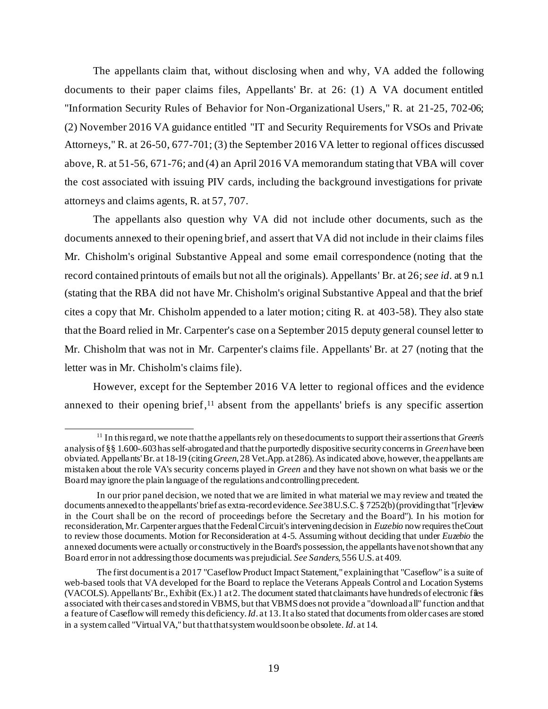The appellants claim that, without disclosing when and why, VA added the following documents to their paper claims files, Appellants' Br. at 26: (1) A VA document entitled "Information Security Rules of Behavior for Non-Organizational Users," R. at 21-25, 702-06; (2) November 2016 VA guidance entitled "IT and Security Requirements for VSOs and Private Attorneys," R. at 26-50, 677-701; (3) the September 2016 VA letter to regional offices discussed above, R. at 51-56, 671-76; and (4) an April 2016 VA memorandum stating that VBA will cover the cost associated with issuing PIV cards, including the background investigations for private attorneys and claims agents, R. at 57, 707.

The appellants also question why VA did not include other documents, such as the documents annexed to their opening brief, and assert that VA did not include in their claims files Mr. Chisholm's original Substantive Appeal and some email correspondence (noting that the record contained printouts of emails but not all the originals). Appellants' Br. at 26; *see id*. at 9 n.1 (stating that the RBA did not have Mr. Chisholm's original Substantive Appeal and that the brief cites a copy that Mr. Chisholm appended to a later motion; citing R. at 403-58). They also state that the Board relied in Mr. Carpenter's case on a September 2015 deputy general counsel letter to Mr. Chisholm that was not in Mr. Carpenter's claims file. Appellants' Br. at 27 (noting that the letter was in Mr. Chisholm's claims file).

However, except for the September 2016 VA letter to regional offices and the evidence annexed to their opening brief, <sup>11</sup> absent from the appellants' briefs is any specific assertion

<sup>11</sup> In this regard, we note that the appellants rely on these documents to support their assertions that *Green*'s analysis of §§ 1.600-.603 has self-abrogated and that the purportedly dispositive security concerns in *Green* have been obviated. Appellants' Br. at 18-19 (citing *Green*, 28 Vet.App. at 286). As indicated above, however, the appellants are mistaken about the role VA's security concerns played in *Green* and they have not shown on what basis we or the Board may ignore the plain language of the regulations and controlling precedent.

In our prior panel decision, we noted that we are limited in what material we may review and treated the documents annexed to the appellants' brief as extra-record evidence. *See*38 U.S.C. § 7252(b) (providing that "[r]eview in the Court shall be on the record of proceedings before the Secretary and the Board"). In his motion for reconsideration, Mr. Carpenter argues that the Federal Circuit's intervening decision in *Euzebio* now requires the Court to review those documents. Motion for Reconsideration at 4-5. Assuming without deciding that under *Euzebio* the annexed documents were actually or constructively in the Board's possession, the appellants have not shown that any Board error in not addressing those documents was prejudicial. *See Sanders*, 556 U.S. at 409.

The first document is a 2017 "Caseflow Product Impact Statement," explaining that "Caseflow" is a suite of web-based tools that VA developed for the Board to replace the Veterans Appeals Control and Location Systems  $(VACOLS)$ . Appellants' Br., Exhibit (Ex.) 1 at 2. The document stated that claimants have hundreds of electronic files associated with their cases and stored in VBMS, but that VBMS does not provide a "download all" function and that a feature of Caseflow will remedy this deficiency. *Id*. at 13. It also stated that documents from older cases are stored in a system called "Virtual VA," but that that system would soon be obsolete. *Id*. at 14.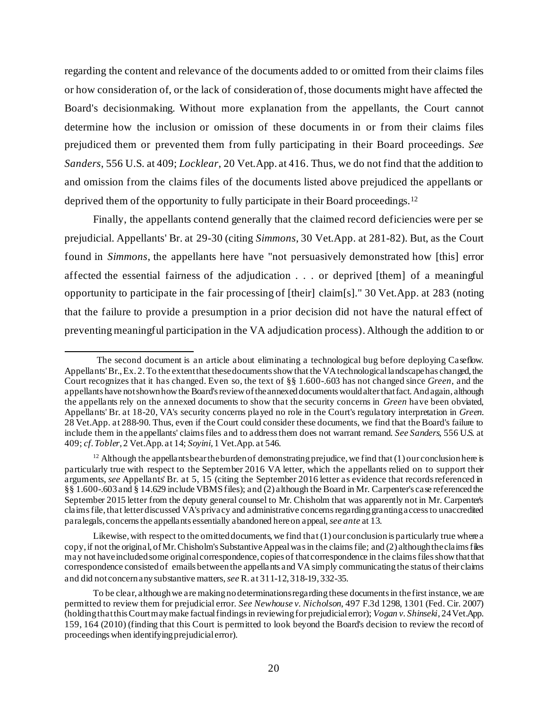regarding the content and relevance of the documents added to or omitted from their claims files or how consideration of, or the lack of consideration of, those documents might have affected the Board's decisionmaking. Without more explanation from the appellants, the Court cannot determine how the inclusion or omission of these documents in or from their claims files prejudiced them or prevented them from fully participating in their Board proceedings. *See Sanders*, 556 U.S. at 409; *Locklear*, 20 Vet.App. at 416. Thus, we do not find that the addition to and omission from the claims files of the documents listed above prejudiced the appellants or deprived them of the opportunity to fully participate in their Board proceedings.<sup>12</sup>

Finally, the appellants contend generally that the claimed record deficiencies were per se prejudicial. Appellants' Br. at 29-30 (citing *Simmons*, 30 Vet.App. at 281-82). But, as the Court found in *Simmons*, the appellants here have "not persuasively demonstrated how [this] error affected the essential fairness of the adjudication . . . or deprived [them] of a meaningful opportunity to participate in the fair processing of [their] claim[s]." 30 Vet.App. at 283 (noting that the failure to provide a presumption in a prior decision did not have the natural effect of preventing meaningful participation in the VA adjudication process). Although the addition to or

The second document is an article about eliminating a technological bug before deploying Caseflow. Appellants' Br.,Ex. 2.To the extent that these documents show that the VA technological landscape has changed, the Court recognizes that it has changed. Even so, the text of §§ 1.600-.603 has not changed since *Green*, and the appellants have not shown how the Board's review of the annexed documents would alter that fact. And again, although the appellants rely on the annexed documents to show that the security concerns in *Green* have been obviated, Appellants' Br. at 18-20, VA's security concerns played no role in the Court's regulatory interpretation in *Green*. 28 Vet.App. at 288-90. Thus, even if the Court could consider these documents, we find that the Board's failure to include them in the appellants' claims files and to address them does not warrant remand. *See Sanders*, 556 U.S. at 409; *cf*.*Tobler*, 2 Vet.App. at 14; *Soyini*, 1 Vet.App. at 546.

 $12$  Although the appellants bear the burden of demonstrating prejudice, we find that (1) our conclusion here is particularly true with respect to the September 2016 VA letter, which the appellants relied on to support their arguments, *see* Appellants' Br. at 5, 15 (citing the September 2016 letter as evidence that records referenced in §§ 1.600-.603 and § 14.629 include VBMS files); and (2) although the Board in Mr. Carpenter's case referencedthe September 2015 letter from the deputy general counsel to Mr. Chisholm that was apparently not in Mr. Carpenter's claims file, that letter discussed VA's privacy and administrative concerns regarding granting access to unaccredited paralegals, concerns the appellants essentially abandoned here on appeal, *see ante* at 13.

Likewise, with respect to the omitted documents, we find that (1) our conclusion is particularly true where a copy, if not the original, of Mr. Chisholm's Substantive Appeal was in the claims file; and (2) although the claims files may not have included some original correspondence, copies of that correspondence in the claims filesshow that that correspondence consisted of emails between the appellants and VA simply communicating the status of their claims and did not concern any substantive matters, *see* R. at 311-12, 318-19, 332-35.

To be clear, although we are making no determinations regarding these documents in the first instance, we are permitted to review them for prejudicial error. *See Newhouse v. Nicholson*, 497 F.3d 1298, 1301 (Fed. Cir. 2007) (holding that this Court may make factual findings in reviewing for prejudicial error); *Vogan v. Shinseki*, 24 Vet.App. 159, 164 (2010) (finding that this Court is permitted to look beyond the Board's decision to review the record of proceedings when identifying prejudicial error).